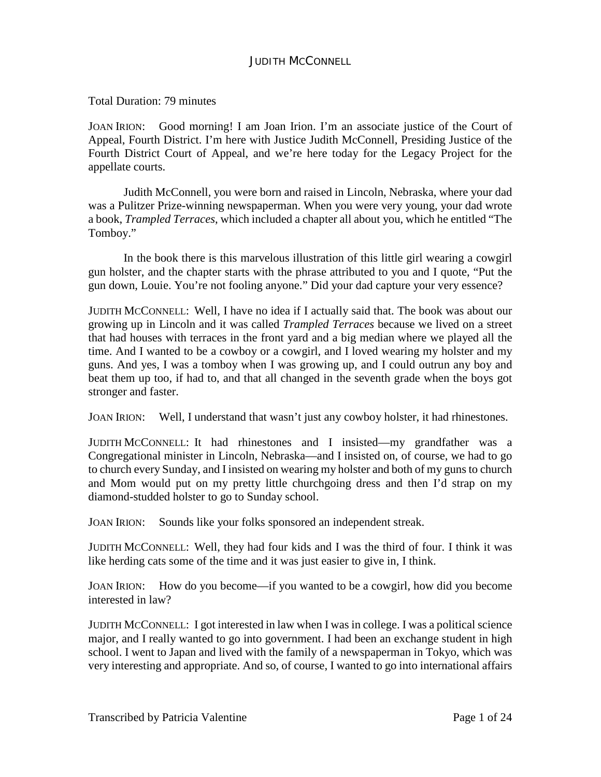Total Duration: 79 minutes

JOAN IRION: Good morning! I am Joan Irion. I'm an associate justice of the Court of Appeal, Fourth District. I'm here with Justice Judith McConnell, Presiding Justice of the Fourth District Court of Appeal, and we're here today for the Legacy Project for the appellate courts.

Judith McConnell, you were born and raised in Lincoln, Nebraska, where your dad was a Pulitzer Prize-winning newspaperman. When you were very young, your dad wrote a book, *Trampled Terraces*, which included a chapter all about you, which he entitled "The Tomboy."

In the book there is this marvelous illustration of this little girl wearing a cowgirl gun holster, and the chapter starts with the phrase attributed to you and I quote, "Put the gun down, Louie. You're not fooling anyone." Did your dad capture your very essence?

JUDITH MCCONNELL: Well, I have no idea if I actually said that. The book was about our growing up in Lincoln and it was called *Trampled Terraces* because we lived on a street that had houses with terraces in the front yard and a big median where we played all the time. And I wanted to be a cowboy or a cowgirl, and I loved wearing my holster and my guns. And yes, I was a tomboy when I was growing up, and I could outrun any boy and beat them up too, if had to, and that all changed in the seventh grade when the boys got stronger and faster.

JOAN IRION: Well, I understand that wasn't just any cowboy holster, it had rhinestones.

JUDITH MCCONNELL: It had rhinestones and I insisted—my grandfather was a Congregational minister in Lincoln, Nebraska—and I insisted on, of course, we had to go to church every Sunday, and I insisted on wearing my holster and both of my guns to church and Mom would put on my pretty little churchgoing dress and then I'd strap on my diamond-studded holster to go to Sunday school.

JOAN IRION: Sounds like your folks sponsored an independent streak.

JUDITH MCCONNELL: Well, they had four kids and I was the third of four. I think it was like herding cats some of the time and it was just easier to give in, I think.

JOAN IRION: How do you become—if you wanted to be a cowgirl, how did you become interested in law?

JUDITH MCCONNELL: I got interested in law when I was in college. I was a political science major, and I really wanted to go into government. I had been an exchange student in high school. I went to Japan and lived with the family of a newspaperman in Tokyo, which was very interesting and appropriate. And so, of course, I wanted to go into international affairs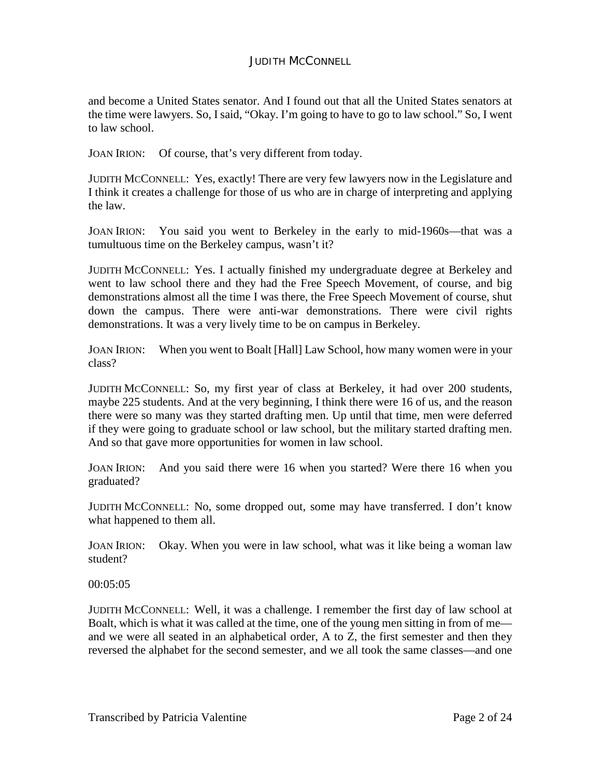and become a United States senator. And I found out that all the United States senators at the time were lawyers. So, I said, "Okay. I'm going to have to go to law school." So, I went to law school.

JOAN IRION: Of course, that's very different from today.

JUDITH MCCONNELL: Yes, exactly! There are very few lawyers now in the Legislature and I think it creates a challenge for those of us who are in charge of interpreting and applying the law.

JOAN IRION: You said you went to Berkeley in the early to mid-1960s—that was a tumultuous time on the Berkeley campus, wasn't it?

JUDITH MCCONNELL: Yes. I actually finished my undergraduate degree at Berkeley and went to law school there and they had the Free Speech Movement, of course, and big demonstrations almost all the time I was there, the Free Speech Movement of course, shut down the campus. There were anti-war demonstrations. There were civil rights demonstrations. It was a very lively time to be on campus in Berkeley.

JOAN IRION: When you went to Boalt [Hall] Law School, how many women were in your class?

JUDITH MCCONNELL: So, my first year of class at Berkeley, it had over 200 students, maybe 225 students. And at the very beginning, I think there were 16 of us, and the reason there were so many was they started drafting men. Up until that time, men were deferred if they were going to graduate school or law school, but the military started drafting men. And so that gave more opportunities for women in law school.

JOAN IRION: And you said there were 16 when you started? Were there 16 when you graduated?

JUDITH MCCONNELL: No, some dropped out, some may have transferred. I don't know what happened to them all.

JOAN IRION: Okay. When you were in law school, what was it like being a woman law student?

00:05:05

JUDITH MCCONNELL: Well, it was a challenge. I remember the first day of law school at Boalt, which is what it was called at the time, one of the young men sitting in from of me and we were all seated in an alphabetical order, A to Z, the first semester and then they reversed the alphabet for the second semester, and we all took the same classes—and one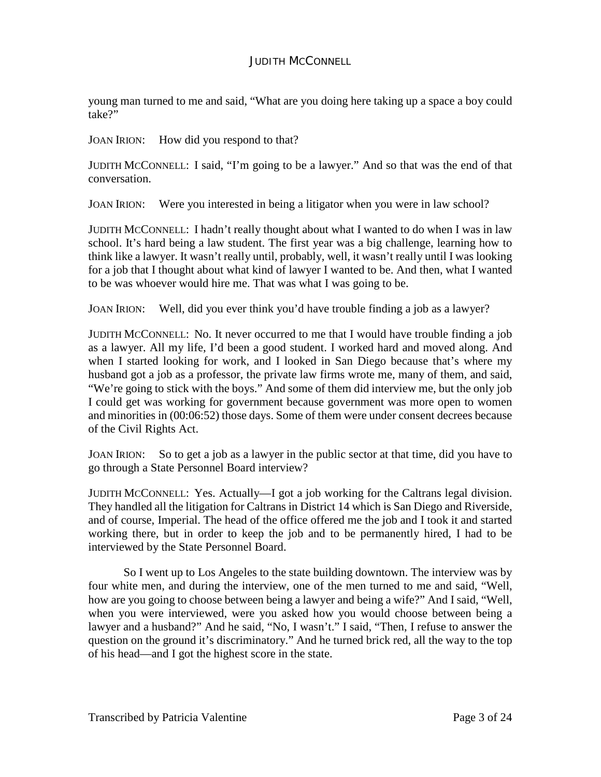young man turned to me and said, "What are you doing here taking up a space a boy could take?"

JOAN IRION: How did you respond to that?

JUDITH MCCONNELL: I said, "I'm going to be a lawyer." And so that was the end of that conversation.

JOAN IRION: Were you interested in being a litigator when you were in law school?

JUDITH MCCONNELL: I hadn't really thought about what I wanted to do when I was in law school. It's hard being a law student. The first year was a big challenge, learning how to think like a lawyer. It wasn't really until, probably, well, it wasn't really until I was looking for a job that I thought about what kind of lawyer I wanted to be. And then, what I wanted to be was whoever would hire me. That was what I was going to be.

JOAN IRION: Well, did you ever think you'd have trouble finding a job as a lawyer?

JUDITH MCCONNELL: No. It never occurred to me that I would have trouble finding a job as a lawyer. All my life, I'd been a good student. I worked hard and moved along. And when I started looking for work, and I looked in San Diego because that's where my husband got a job as a professor, the private law firms wrote me, many of them, and said, "We're going to stick with the boys." And some of them did interview me, but the only job I could get was working for government because government was more open to women and minorities in (00:06:52) those days. Some of them were under consent decrees because of the Civil Rights Act.

JOAN IRION: So to get a job as a lawyer in the public sector at that time, did you have to go through a State Personnel Board interview?

JUDITH MCCONNELL: Yes. Actually—I got a job working for the Caltrans legal division. They handled all the litigation for Caltrans in District 14 which is San Diego and Riverside, and of course, Imperial. The head of the office offered me the job and I took it and started working there, but in order to keep the job and to be permanently hired, I had to be interviewed by the State Personnel Board.

So I went up to Los Angeles to the state building downtown. The interview was by four white men, and during the interview, one of the men turned to me and said, "Well, how are you going to choose between being a lawyer and being a wife?" And I said, "Well, when you were interviewed, were you asked how you would choose between being a lawyer and a husband?" And he said, "No, I wasn't." I said, "Then, I refuse to answer the question on the ground it's discriminatory." And he turned brick red, all the way to the top of his head—and I got the highest score in the state.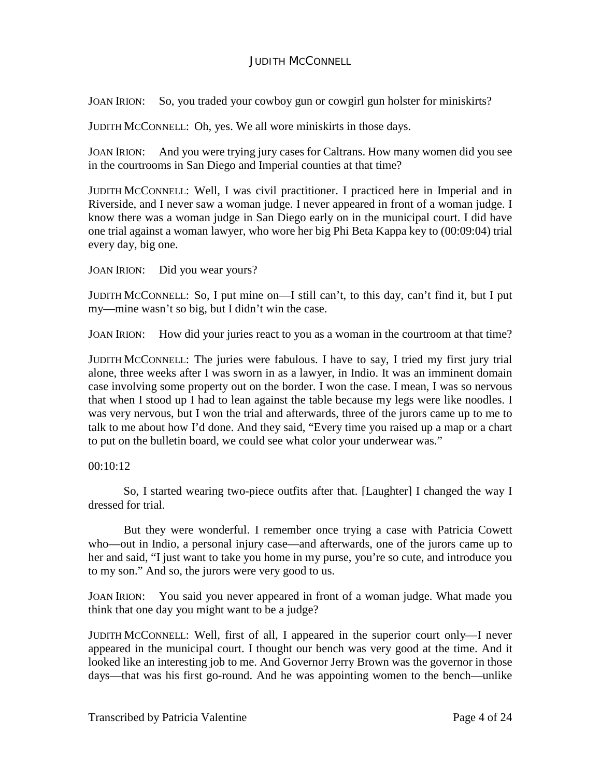JOAN IRION: So, you traded your cowboy gun or cowgirl gun holster for miniskirts?

JUDITH MCCONNELL: Oh, yes. We all wore miniskirts in those days.

JOAN IRION: And you were trying jury cases for Caltrans. How many women did you see in the courtrooms in San Diego and Imperial counties at that time?

JUDITH MCCONNELL: Well, I was civil practitioner. I practiced here in Imperial and in Riverside, and I never saw a woman judge. I never appeared in front of a woman judge. I know there was a woman judge in San Diego early on in the municipal court. I did have one trial against a woman lawyer, who wore her big Phi Beta Kappa key to (00:09:04) trial every day, big one.

JOAN IRION: Did you wear yours?

JUDITH MCCONNELL: So, I put mine on—I still can't, to this day, can't find it, but I put my—mine wasn't so big, but I didn't win the case.

JOAN IRION: How did your juries react to you as a woman in the courtroom at that time?

JUDITH MCCONNELL: The juries were fabulous. I have to say, I tried my first jury trial alone, three weeks after I was sworn in as a lawyer, in Indio. It was an imminent domain case involving some property out on the border. I won the case. I mean, I was so nervous that when I stood up I had to lean against the table because my legs were like noodles. I was very nervous, but I won the trial and afterwards, three of the jurors came up to me to talk to me about how I'd done. And they said, "Every time you raised up a map or a chart to put on the bulletin board, we could see what color your underwear was."

## 00:10:12

So, I started wearing two-piece outfits after that. [Laughter] I changed the way I dressed for trial.

But they were wonderful. I remember once trying a case with Patricia Cowett who—out in Indio, a personal injury case—and afterwards, one of the jurors came up to her and said, "I just want to take you home in my purse, you're so cute, and introduce you to my son." And so, the jurors were very good to us.

JOAN IRION: You said you never appeared in front of a woman judge. What made you think that one day you might want to be a judge?

JUDITH MCCONNELL: Well, first of all, I appeared in the superior court only—I never appeared in the municipal court. I thought our bench was very good at the time. And it looked like an interesting job to me. And Governor Jerry Brown was the governor in those days—that was his first go-round. And he was appointing women to the bench—unlike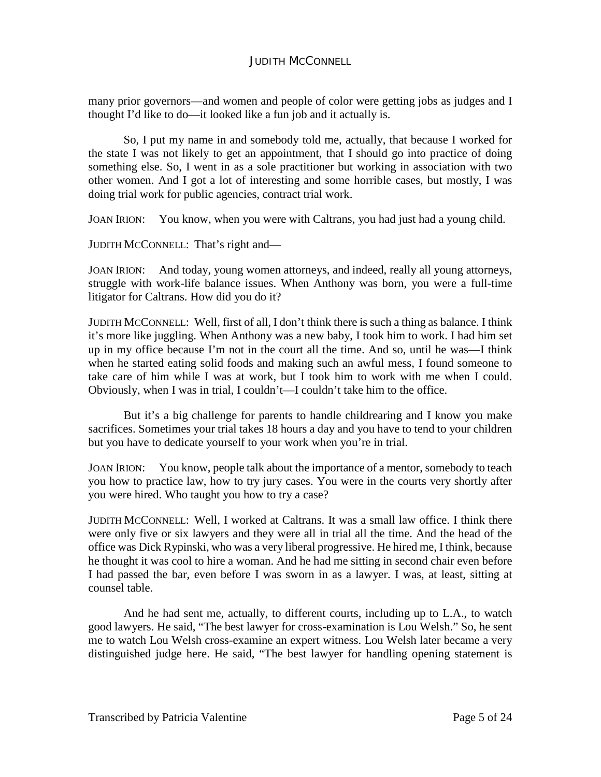many prior governors—and women and people of color were getting jobs as judges and I thought I'd like to do—it looked like a fun job and it actually is.

So, I put my name in and somebody told me, actually, that because I worked for the state I was not likely to get an appointment, that I should go into practice of doing something else. So, I went in as a sole practitioner but working in association with two other women. And I got a lot of interesting and some horrible cases, but mostly, I was doing trial work for public agencies, contract trial work.

JOAN IRION: You know, when you were with Caltrans, you had just had a young child.

JUDITH MCCONNELL: That's right and—

JOAN IRION: And today, young women attorneys, and indeed, really all young attorneys, struggle with work-life balance issues. When Anthony was born, you were a full-time litigator for Caltrans. How did you do it?

JUDITH MCCONNELL: Well, first of all, I don't think there is such a thing as balance. I think it's more like juggling. When Anthony was a new baby, I took him to work. I had him set up in my office because I'm not in the court all the time. And so, until he was—I think when he started eating solid foods and making such an awful mess, I found someone to take care of him while I was at work, but I took him to work with me when I could. Obviously, when I was in trial, I couldn't—I couldn't take him to the office.

But it's a big challenge for parents to handle childrearing and I know you make sacrifices. Sometimes your trial takes 18 hours a day and you have to tend to your children but you have to dedicate yourself to your work when you're in trial.

JOAN IRION: You know, people talk about the importance of a mentor, somebody to teach you how to practice law, how to try jury cases. You were in the courts very shortly after you were hired. Who taught you how to try a case?

JUDITH MCCONNELL: Well, I worked at Caltrans. It was a small law office. I think there were only five or six lawyers and they were all in trial all the time. And the head of the office was Dick Rypinski, who was a very liberal progressive. He hired me, I think, because he thought it was cool to hire a woman. And he had me sitting in second chair even before I had passed the bar, even before I was sworn in as a lawyer. I was, at least, sitting at counsel table.

And he had sent me, actually, to different courts, including up to L.A., to watch good lawyers. He said, "The best lawyer for cross-examination is Lou Welsh." So, he sent me to watch Lou Welsh cross-examine an expert witness. Lou Welsh later became a very distinguished judge here. He said, "The best lawyer for handling opening statement is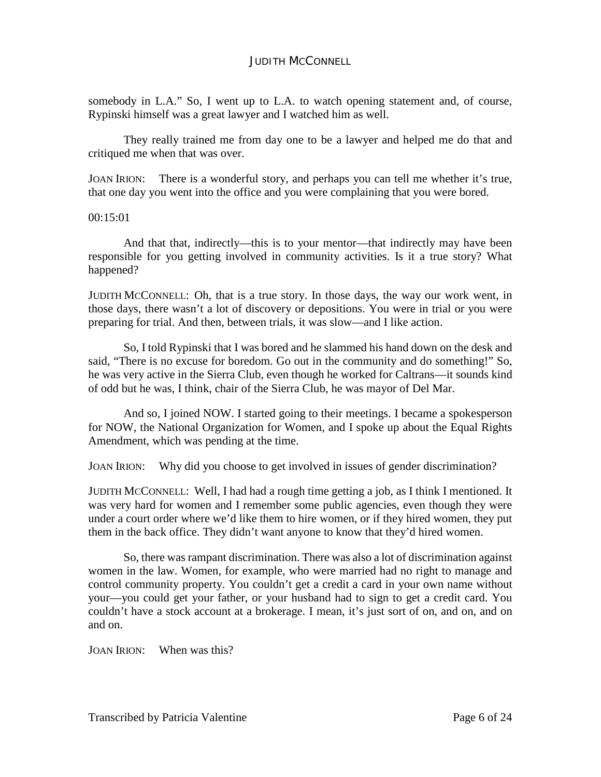somebody in L.A." So, I went up to L.A. to watch opening statement and, of course, Rypinski himself was a great lawyer and I watched him as well.

They really trained me from day one to be a lawyer and helped me do that and critiqued me when that was over.

JOAN IRION: There is a wonderful story, and perhaps you can tell me whether it's true, that one day you went into the office and you were complaining that you were bored.

00:15:01

And that that, indirectly—this is to your mentor—that indirectly may have been responsible for you getting involved in community activities. Is it a true story? What happened?

JUDITH MCCONNELL: Oh, that is a true story. In those days, the way our work went, in those days, there wasn't a lot of discovery or depositions. You were in trial or you were preparing for trial. And then, between trials, it was slow—and I like action.

So, I told Rypinski that I was bored and he slammed his hand down on the desk and said, "There is no excuse for boredom. Go out in the community and do something!" So, he was very active in the Sierra Club, even though he worked for Caltrans—it sounds kind of odd but he was, I think, chair of the Sierra Club, he was mayor of Del Mar.

And so, I joined NOW. I started going to their meetings. I became a spokesperson for NOW, the National Organization for Women, and I spoke up about the Equal Rights Amendment, which was pending at the time.

JOAN IRION: Why did you choose to get involved in issues of gender discrimination?

JUDITH MCCONNELL: Well, I had had a rough time getting a job, as I think I mentioned. It was very hard for women and I remember some public agencies, even though they were under a court order where we'd like them to hire women, or if they hired women, they put them in the back office. They didn't want anyone to know that they'd hired women.

So, there was rampant discrimination. There was also a lot of discrimination against women in the law. Women, for example, who were married had no right to manage and control community property. You couldn't get a credit a card in your own name without your—you could get your father, or your husband had to sign to get a credit card. You couldn't have a stock account at a brokerage. I mean, it's just sort of on, and on, and on and on.

JOAN IRION: When was this?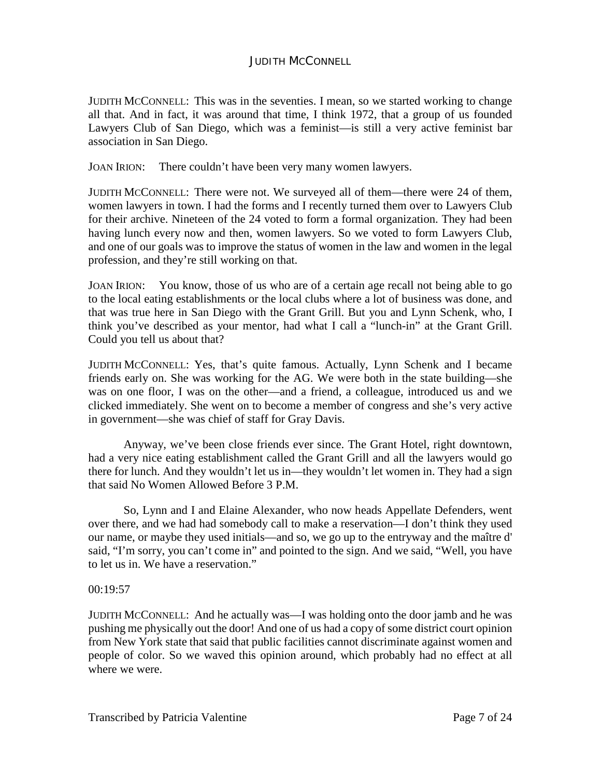JUDITH MCCONNELL: This was in the seventies. I mean, so we started working to change all that. And in fact, it was around that time, I think 1972, that a group of us founded Lawyers Club of San Diego, which was a feminist—is still a very active feminist bar association in San Diego.

JOAN IRION: There couldn't have been very many women lawyers.

JUDITH MCCONNELL: There were not. We surveyed all of them—there were 24 of them, women lawyers in town. I had the forms and I recently turned them over to Lawyers Club for their archive. Nineteen of the 24 voted to form a formal organization. They had been having lunch every now and then, women lawyers. So we voted to form Lawyers Club, and one of our goals was to improve the status of women in the law and women in the legal profession, and they're still working on that.

JOAN IRION: You know, those of us who are of a certain age recall not being able to go to the local eating establishments or the local clubs where a lot of business was done, and that was true here in San Diego with the Grant Grill. But you and Lynn Schenk, who, I think you've described as your mentor, had what I call a "lunch-in" at the Grant Grill. Could you tell us about that?

JUDITH MCCONNELL: Yes, that's quite famous. Actually, Lynn Schenk and I became friends early on. She was working for the AG. We were both in the state building—she was on one floor, I was on the other—and a friend, a colleague, introduced us and we clicked immediately. She went on to become a member of congress and she's very active in government—she was chief of staff for Gray Davis.

Anyway, we've been close friends ever since. The Grant Hotel, right downtown, had a very nice eating establishment called the Grant Grill and all the lawyers would go there for lunch. And they wouldn't let us in—they wouldn't let women in. They had a sign that said No Women Allowed Before 3 P.M.

So, Lynn and I and Elaine Alexander, who now heads Appellate Defenders, went over there, and we had had somebody call to make a reservation—I don't think they used our name, or maybe they used initials—and so, we go up to the entryway and the maître d' said, "I'm sorry, you can't come in" and pointed to the sign. And we said, "Well, you have to let us in. We have a reservation."

## 00:19:57

JUDITH MCCONNELL: And he actually was—I was holding onto the door jamb and he was pushing me physically out the door! And one of us had a copy of some district court opinion from New York state that said that public facilities cannot discriminate against women and people of color. So we waved this opinion around, which probably had no effect at all where we were.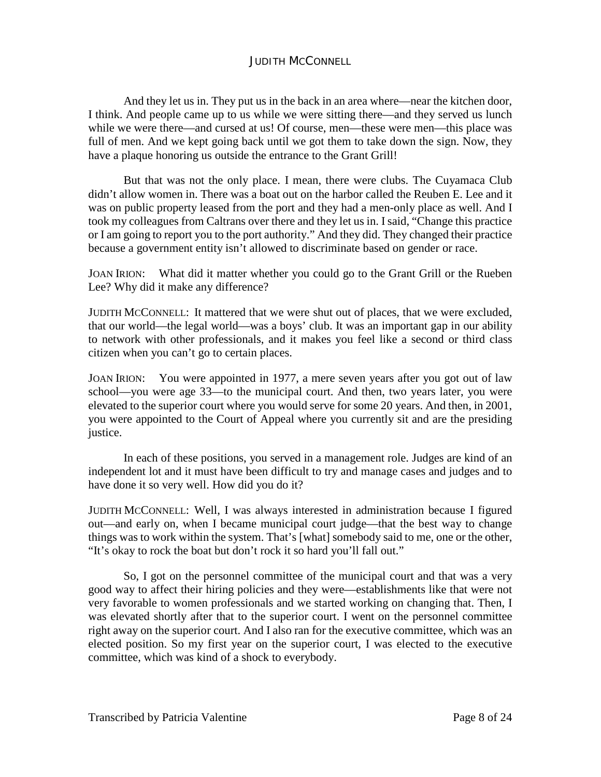And they let us in. They put us in the back in an area where—near the kitchen door, I think. And people came up to us while we were sitting there—and they served us lunch while we were there—and cursed at us! Of course, men—these were men—this place was full of men. And we kept going back until we got them to take down the sign. Now, they have a plaque honoring us outside the entrance to the Grant Grill!

But that was not the only place. I mean, there were clubs. The Cuyamaca Club didn't allow women in. There was a boat out on the harbor called the Reuben E. Lee and it was on public property leased from the port and they had a men-only place as well. And I took my colleagues from Caltrans over there and they let us in. I said, "Change this practice or I am going to report you to the port authority." And they did. They changed their practice because a government entity isn't allowed to discriminate based on gender or race.

JOAN IRION: What did it matter whether you could go to the Grant Grill or the Rueben Lee? Why did it make any difference?

JUDITH MCCONNELL: It mattered that we were shut out of places, that we were excluded, that our world—the legal world—was a boys' club. It was an important gap in our ability to network with other professionals, and it makes you feel like a second or third class citizen when you can't go to certain places.

JOAN IRION: You were appointed in 1977, a mere seven years after you got out of law school—you were age 33—to the municipal court. And then, two years later, you were elevated to the superior court where you would serve for some 20 years. And then, in 2001, you were appointed to the Court of Appeal where you currently sit and are the presiding justice.

In each of these positions, you served in a management role. Judges are kind of an independent lot and it must have been difficult to try and manage cases and judges and to have done it so very well. How did you do it?

JUDITH MCCONNELL: Well, I was always interested in administration because I figured out—and early on, when I became municipal court judge—that the best way to change things was to work within the system. That's [what] somebody said to me, one or the other, "It's okay to rock the boat but don't rock it so hard you'll fall out."

So, I got on the personnel committee of the municipal court and that was a very good way to affect their hiring policies and they were—establishments like that were not very favorable to women professionals and we started working on changing that. Then, I was elevated shortly after that to the superior court. I went on the personnel committee right away on the superior court. And I also ran for the executive committee, which was an elected position. So my first year on the superior court, I was elected to the executive committee, which was kind of a shock to everybody.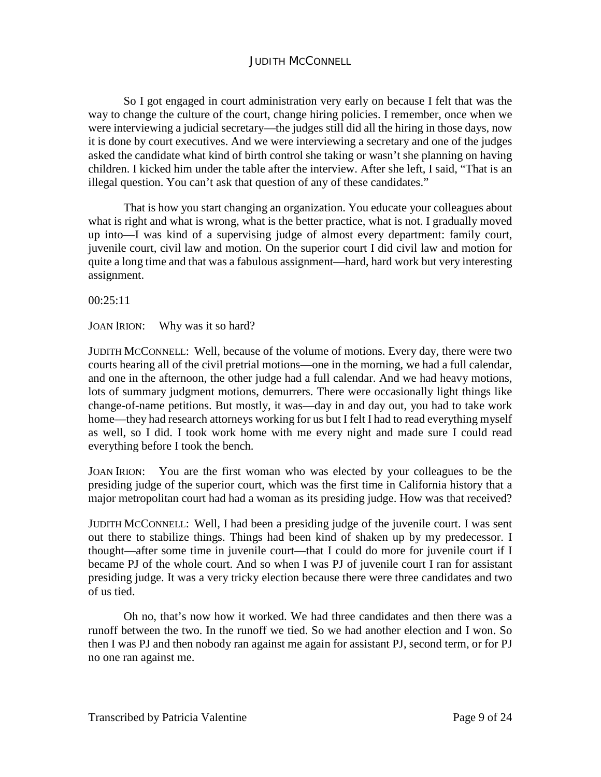So I got engaged in court administration very early on because I felt that was the way to change the culture of the court, change hiring policies. I remember, once when we were interviewing a judicial secretary—the judges still did all the hiring in those days, now it is done by court executives. And we were interviewing a secretary and one of the judges asked the candidate what kind of birth control she taking or wasn't she planning on having children. I kicked him under the table after the interview. After she left, I said, "That is an illegal question. You can't ask that question of any of these candidates."

That is how you start changing an organization. You educate your colleagues about what is right and what is wrong, what is the better practice, what is not. I gradually moved up into—I was kind of a supervising judge of almost every department: family court, juvenile court, civil law and motion. On the superior court I did civil law and motion for quite a long time and that was a fabulous assignment—hard, hard work but very interesting assignment.

 $00:25:11$ 

JOAN IRION: Why was it so hard?

JUDITH MCCONNELL: Well, because of the volume of motions. Every day, there were two courts hearing all of the civil pretrial motions—one in the morning, we had a full calendar, and one in the afternoon, the other judge had a full calendar. And we had heavy motions, lots of summary judgment motions, demurrers. There were occasionally light things like change-of-name petitions. But mostly, it was—day in and day out, you had to take work home—they had research attorneys working for us but I felt I had to read everything myself as well, so I did. I took work home with me every night and made sure I could read everything before I took the bench.

JOAN IRION: You are the first woman who was elected by your colleagues to be the presiding judge of the superior court, which was the first time in California history that a major metropolitan court had had a woman as its presiding judge. How was that received?

JUDITH MCCONNELL: Well, I had been a presiding judge of the juvenile court. I was sent out there to stabilize things. Things had been kind of shaken up by my predecessor. I thought—after some time in juvenile court—that I could do more for juvenile court if I became PJ of the whole court. And so when I was PJ of juvenile court I ran for assistant presiding judge. It was a very tricky election because there were three candidates and two of us tied.

Oh no, that's now how it worked. We had three candidates and then there was a runoff between the two. In the runoff we tied. So we had another election and I won. So then I was PJ and then nobody ran against me again for assistant PJ, second term, or for PJ no one ran against me.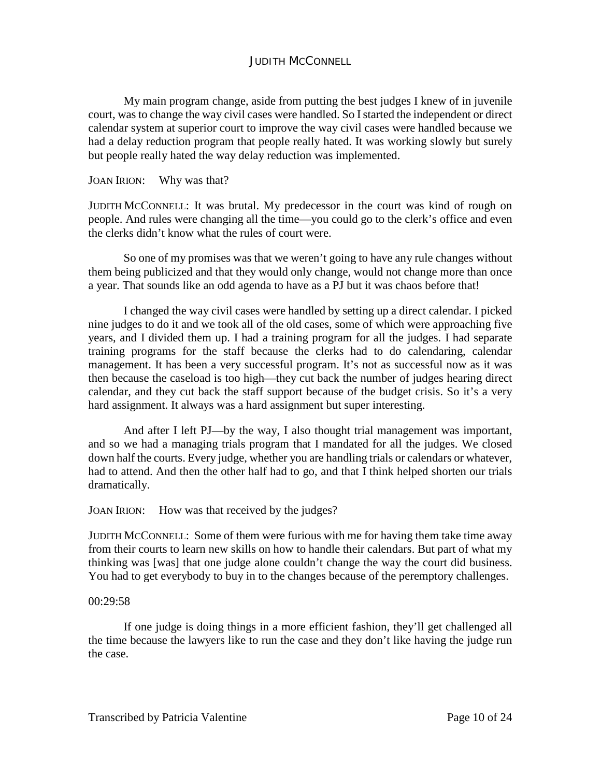My main program change, aside from putting the best judges I knew of in juvenile court, was to change the way civil cases were handled. So I started the independent or direct calendar system at superior court to improve the way civil cases were handled because we had a delay reduction program that people really hated. It was working slowly but surely but people really hated the way delay reduction was implemented.

JOAN IRION: Why was that?

JUDITH MCCONNELL: It was brutal. My predecessor in the court was kind of rough on people. And rules were changing all the time—you could go to the clerk's office and even the clerks didn't know what the rules of court were.

So one of my promises was that we weren't going to have any rule changes without them being publicized and that they would only change, would not change more than once a year. That sounds like an odd agenda to have as a PJ but it was chaos before that!

I changed the way civil cases were handled by setting up a direct calendar. I picked nine judges to do it and we took all of the old cases, some of which were approaching five years, and I divided them up. I had a training program for all the judges. I had separate training programs for the staff because the clerks had to do calendaring, calendar management. It has been a very successful program. It's not as successful now as it was then because the caseload is too high—they cut back the number of judges hearing direct calendar, and they cut back the staff support because of the budget crisis. So it's a very hard assignment. It always was a hard assignment but super interesting.

And after I left PJ—by the way, I also thought trial management was important, and so we had a managing trials program that I mandated for all the judges. We closed down half the courts. Every judge, whether you are handling trials or calendars or whatever, had to attend. And then the other half had to go, and that I think helped shorten our trials dramatically.

JOAN IRION: How was that received by the judges?

JUDITH MCCONNELL: Some of them were furious with me for having them take time away from their courts to learn new skills on how to handle their calendars. But part of what my thinking was [was] that one judge alone couldn't change the way the court did business. You had to get everybody to buy in to the changes because of the peremptory challenges.

#### 00:29:58

If one judge is doing things in a more efficient fashion, they'll get challenged all the time because the lawyers like to run the case and they don't like having the judge run the case.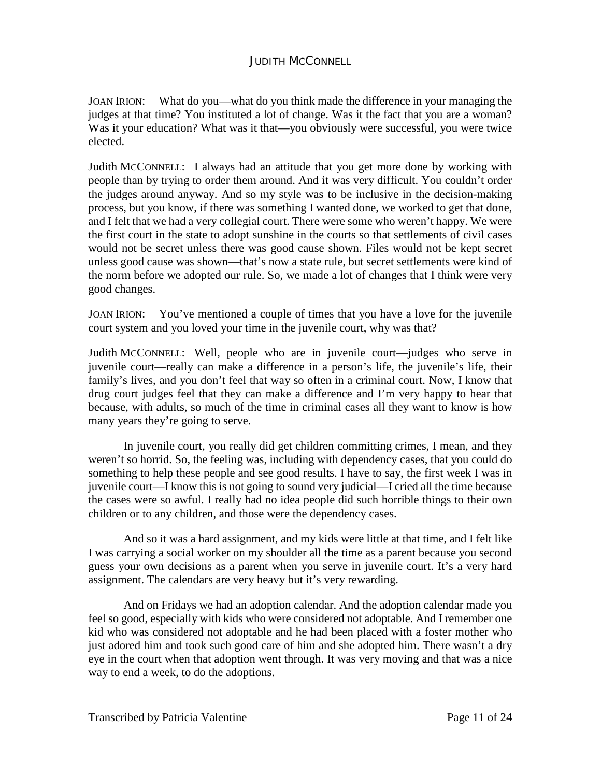JOAN IRION: What do you—what do you think made the difference in your managing the judges at that time? You instituted a lot of change. Was it the fact that you are a woman? Was it your education? What was it that—you obviously were successful, you were twice elected.

Judith MCCONNELL: I always had an attitude that you get more done by working with people than by trying to order them around. And it was very difficult. You couldn't order the judges around anyway. And so my style was to be inclusive in the decision-making process, but you know, if there was something I wanted done, we worked to get that done, and I felt that we had a very collegial court. There were some who weren't happy. We were the first court in the state to adopt sunshine in the courts so that settlements of civil cases would not be secret unless there was good cause shown. Files would not be kept secret unless good cause was shown—that's now a state rule, but secret settlements were kind of the norm before we adopted our rule. So, we made a lot of changes that I think were very good changes.

JOAN IRION: You've mentioned a couple of times that you have a love for the juvenile court system and you loved your time in the juvenile court, why was that?

Judith MCCONNELL: Well, people who are in juvenile court—judges who serve in juvenile court—really can make a difference in a person's life, the juvenile's life, their family's lives, and you don't feel that way so often in a criminal court. Now, I know that drug court judges feel that they can make a difference and I'm very happy to hear that because, with adults, so much of the time in criminal cases all they want to know is how many years they're going to serve.

In juvenile court, you really did get children committing crimes, I mean, and they weren't so horrid. So, the feeling was, including with dependency cases, that you could do something to help these people and see good results. I have to say, the first week I was in juvenile court—I know this is not going to sound very judicial—I cried all the time because the cases were so awful. I really had no idea people did such horrible things to their own children or to any children, and those were the dependency cases.

And so it was a hard assignment, and my kids were little at that time, and I felt like I was carrying a social worker on my shoulder all the time as a parent because you second guess your own decisions as a parent when you serve in juvenile court. It's a very hard assignment. The calendars are very heavy but it's very rewarding.

And on Fridays we had an adoption calendar. And the adoption calendar made you feel so good, especially with kids who were considered not adoptable. And I remember one kid who was considered not adoptable and he had been placed with a foster mother who just adored him and took such good care of him and she adopted him. There wasn't a dry eye in the court when that adoption went through. It was very moving and that was a nice way to end a week, to do the adoptions.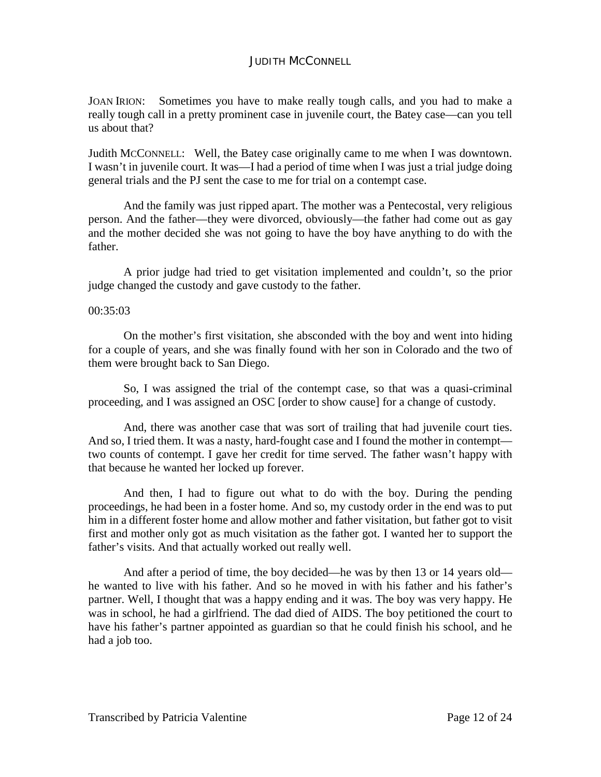JOAN IRION: Sometimes you have to make really tough calls, and you had to make a really tough call in a pretty prominent case in juvenile court, the Batey case—can you tell us about that?

Judith MCCONNELL: Well, the Batey case originally came to me when I was downtown. I wasn't in juvenile court. It was—I had a period of time when I was just a trial judge doing general trials and the PJ sent the case to me for trial on a contempt case.

And the family was just ripped apart. The mother was a Pentecostal, very religious person. And the father—they were divorced, obviously—the father had come out as gay and the mother decided she was not going to have the boy have anything to do with the father.

A prior judge had tried to get visitation implemented and couldn't, so the prior judge changed the custody and gave custody to the father.

#### 00:35:03

On the mother's first visitation, she absconded with the boy and went into hiding for a couple of years, and she was finally found with her son in Colorado and the two of them were brought back to San Diego.

So, I was assigned the trial of the contempt case, so that was a quasi-criminal proceeding, and I was assigned an OSC [order to show cause] for a change of custody.

And, there was another case that was sort of trailing that had juvenile court ties. And so, I tried them. It was a nasty, hard-fought case and I found the mother in contempt two counts of contempt. I gave her credit for time served. The father wasn't happy with that because he wanted her locked up forever.

And then, I had to figure out what to do with the boy. During the pending proceedings, he had been in a foster home. And so, my custody order in the end was to put him in a different foster home and allow mother and father visitation, but father got to visit first and mother only got as much visitation as the father got. I wanted her to support the father's visits. And that actually worked out really well.

And after a period of time, the boy decided—he was by then 13 or 14 years old he wanted to live with his father. And so he moved in with his father and his father's partner. Well, I thought that was a happy ending and it was. The boy was very happy. He was in school, he had a girlfriend. The dad died of AIDS. The boy petitioned the court to have his father's partner appointed as guardian so that he could finish his school, and he had a job too.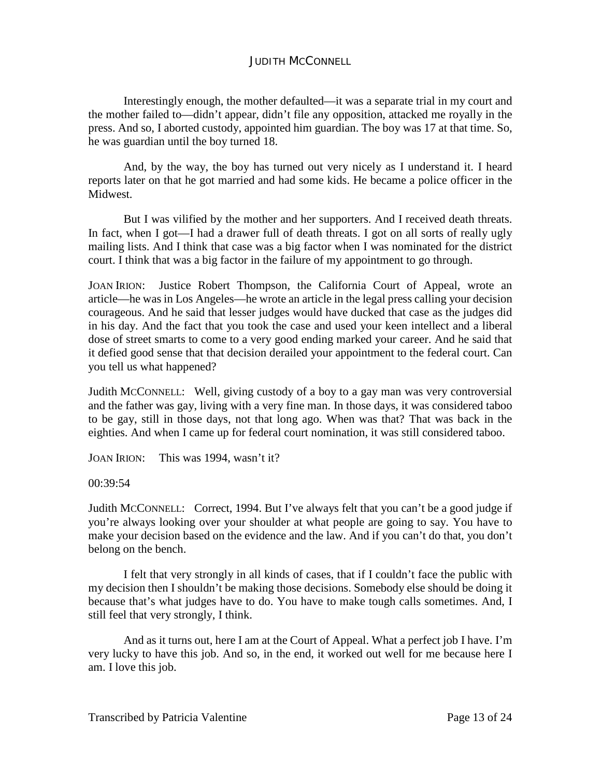Interestingly enough, the mother defaulted—it was a separate trial in my court and the mother failed to—didn't appear, didn't file any opposition, attacked me royally in the press. And so, I aborted custody, appointed him guardian. The boy was 17 at that time. So, he was guardian until the boy turned 18.

And, by the way, the boy has turned out very nicely as I understand it. I heard reports later on that he got married and had some kids. He became a police officer in the Midwest.

But I was vilified by the mother and her supporters. And I received death threats. In fact, when I got—I had a drawer full of death threats. I got on all sorts of really ugly mailing lists. And I think that case was a big factor when I was nominated for the district court. I think that was a big factor in the failure of my appointment to go through.

JOAN IRION: Justice Robert Thompson, the California Court of Appeal, wrote an article—he was in Los Angeles—he wrote an article in the legal press calling your decision courageous. And he said that lesser judges would have ducked that case as the judges did in his day. And the fact that you took the case and used your keen intellect and a liberal dose of street smarts to come to a very good ending marked your career. And he said that it defied good sense that that decision derailed your appointment to the federal court. Can you tell us what happened?

Judith MCCONNELL: Well, giving custody of a boy to a gay man was very controversial and the father was gay, living with a very fine man. In those days, it was considered taboo to be gay, still in those days, not that long ago. When was that? That was back in the eighties. And when I came up for federal court nomination, it was still considered taboo.

JOAN IRION: This was 1994, wasn't it?

00:39:54

Judith MCCONNELL: Correct, 1994. But I've always felt that you can't be a good judge if you're always looking over your shoulder at what people are going to say. You have to make your decision based on the evidence and the law. And if you can't do that, you don't belong on the bench.

I felt that very strongly in all kinds of cases, that if I couldn't face the public with my decision then I shouldn't be making those decisions. Somebody else should be doing it because that's what judges have to do. You have to make tough calls sometimes. And, I still feel that very strongly, I think.

And as it turns out, here I am at the Court of Appeal. What a perfect job I have. I'm very lucky to have this job. And so, in the end, it worked out well for me because here I am. I love this job.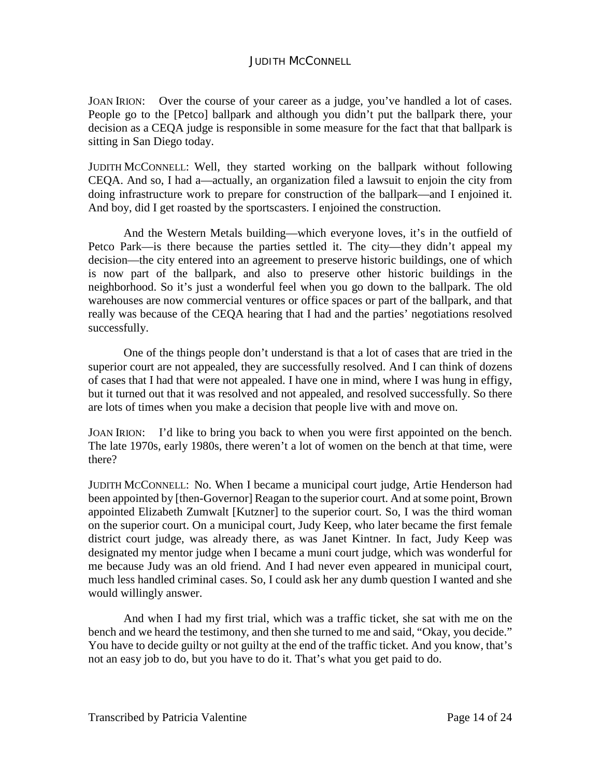JOAN IRION: Over the course of your career as a judge, you've handled a lot of cases. People go to the [Petco] ballpark and although you didn't put the ballpark there, your decision as a CEQA judge is responsible in some measure for the fact that that ballpark is sitting in San Diego today.

JUDITH MCCONNELL: Well, they started working on the ballpark without following CEQA. And so, I had a—actually, an organization filed a lawsuit to enjoin the city from doing infrastructure work to prepare for construction of the ballpark—and I enjoined it. And boy, did I get roasted by the sportscasters. I enjoined the construction.

And the Western Metals building—which everyone loves, it's in the outfield of Petco Park—is there because the parties settled it. The city—they didn't appeal my decision—the city entered into an agreement to preserve historic buildings, one of which is now part of the ballpark, and also to preserve other historic buildings in the neighborhood. So it's just a wonderful feel when you go down to the ballpark. The old warehouses are now commercial ventures or office spaces or part of the ballpark, and that really was because of the CEQA hearing that I had and the parties' negotiations resolved successfully.

One of the things people don't understand is that a lot of cases that are tried in the superior court are not appealed, they are successfully resolved. And I can think of dozens of cases that I had that were not appealed. I have one in mind, where I was hung in effigy, but it turned out that it was resolved and not appealed, and resolved successfully. So there are lots of times when you make a decision that people live with and move on.

JOAN IRION: I'd like to bring you back to when you were first appointed on the bench. The late 1970s, early 1980s, there weren't a lot of women on the bench at that time, were there?

JUDITH MCCONNELL: No. When I became a municipal court judge, Artie Henderson had been appointed by [then-Governor] Reagan to the superior court. And at some point, Brown appointed Elizabeth Zumwalt [Kutzner] to the superior court. So, I was the third woman on the superior court. On a municipal court, Judy Keep, who later became the first female district court judge, was already there, as was Janet Kintner. In fact, Judy Keep was designated my mentor judge when I became a muni court judge, which was wonderful for me because Judy was an old friend. And I had never even appeared in municipal court, much less handled criminal cases. So, I could ask her any dumb question I wanted and she would willingly answer.

And when I had my first trial, which was a traffic ticket, she sat with me on the bench and we heard the testimony, and then she turned to me and said, "Okay, you decide." You have to decide guilty or not guilty at the end of the traffic ticket. And you know, that's not an easy job to do, but you have to do it. That's what you get paid to do.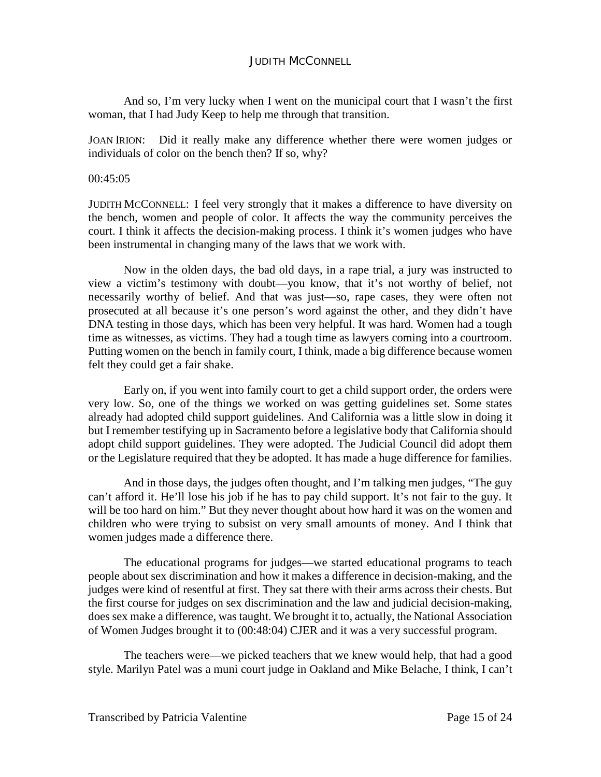And so, I'm very lucky when I went on the municipal court that I wasn't the first woman, that I had Judy Keep to help me through that transition.

JOAN IRION: Did it really make any difference whether there were women judges or individuals of color on the bench then? If so, why?

### 00:45:05

JUDITH MCCONNELL: I feel very strongly that it makes a difference to have diversity on the bench, women and people of color. It affects the way the community perceives the court. I think it affects the decision-making process. I think it's women judges who have been instrumental in changing many of the laws that we work with.

Now in the olden days, the bad old days, in a rape trial, a jury was instructed to view a victim's testimony with doubt—you know, that it's not worthy of belief, not necessarily worthy of belief. And that was just—so, rape cases, they were often not prosecuted at all because it's one person's word against the other, and they didn't have DNA testing in those days, which has been very helpful. It was hard. Women had a tough time as witnesses, as victims. They had a tough time as lawyers coming into a courtroom. Putting women on the bench in family court, I think, made a big difference because women felt they could get a fair shake.

Early on, if you went into family court to get a child support order, the orders were very low. So, one of the things we worked on was getting guidelines set. Some states already had adopted child support guidelines. And California was a little slow in doing it but I remember testifying up in Sacramento before a legislative body that California should adopt child support guidelines. They were adopted. The Judicial Council did adopt them or the Legislature required that they be adopted. It has made a huge difference for families.

And in those days, the judges often thought, and I'm talking men judges, "The guy can't afford it. He'll lose his job if he has to pay child support. It's not fair to the guy. It will be too hard on him." But they never thought about how hard it was on the women and children who were trying to subsist on very small amounts of money. And I think that women judges made a difference there.

The educational programs for judges—we started educational programs to teach people about sex discrimination and how it makes a difference in decision-making, and the judges were kind of resentful at first. They sat there with their arms across their chests. But the first course for judges on sex discrimination and the law and judicial decision-making, does sex make a difference, was taught. We brought it to, actually, the National Association of Women Judges brought it to (00:48:04) CJER and it was a very successful program.

The teachers were—we picked teachers that we knew would help, that had a good style. Marilyn Patel was a muni court judge in Oakland and Mike Belache, I think, I can't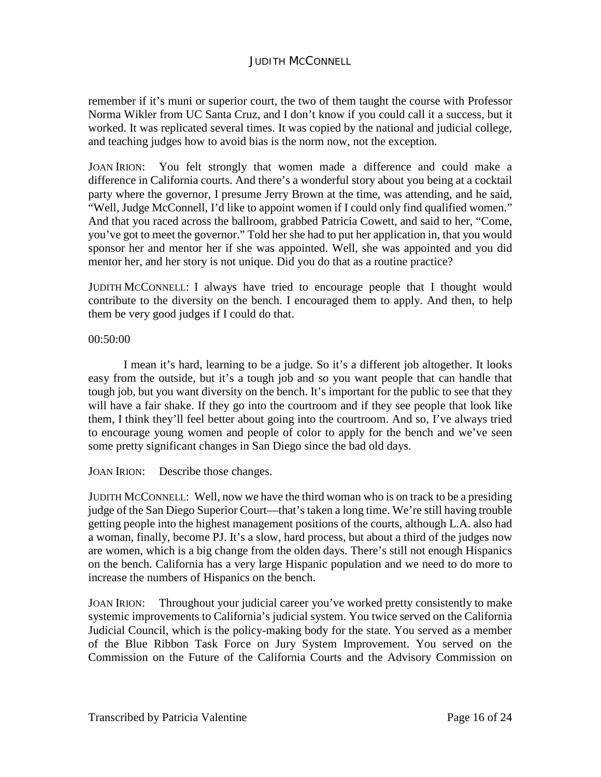remember if it's muni or superior court, the two of them taught the course with Professor Norma Wikler from UC Santa Cruz, and I don't know if you could call it a success, but it worked. It was replicated several times. It was copied by the national and judicial college, and teaching judges how to avoid bias is the norm now, not the exception.

JOAN IRION: You felt strongly that women made a difference and could make a difference in California courts. And there's a wonderful story about you being at a cocktail party where the governor, I presume Jerry Brown at the time, was attending, and he said, "Well, Judge McConnell, I'd like to appoint women if I could only find qualified women." And that you raced across the ballroom, grabbed Patricia Cowett, and said to her, "Come, you've got to meet the governor." Told her she had to put her application in, that you would sponsor her and mentor her if she was appointed. Well, she was appointed and you did mentor her, and her story is not unique. Did you do that as a routine practice?

JUDITH MCCONNELL: I always have tried to encourage people that I thought would contribute to the diversity on the bench. I encouraged them to apply. And then, to help them be very good judges if I could do that.

## 00:50:00

I mean it's hard, learning to be a judge. So it's a different job altogether. It looks easy from the outside, but it's a tough job and so you want people that can handle that tough job, but you want diversity on the bench. It's important for the public to see that they will have a fair shake. If they go into the courtroom and if they see people that look like them, I think they'll feel better about going into the courtroom. And so, I've always tried to encourage young women and people of color to apply for the bench and we've seen some pretty significant changes in San Diego since the bad old days.

JOAN IRION: Describe those changes.

JUDITH MCCONNELL: Well, now we have the third woman who is on track to be a presiding judge of the San Diego Superior Court—that's taken a long time. We're still having trouble getting people into the highest management positions of the courts, although L.A. also had a woman, finally, become PJ. It's a slow, hard process, but about a third of the judges now are women, which is a big change from the olden days. There's still not enough Hispanics on the bench. California has a very large Hispanic population and we need to do more to increase the numbers of Hispanics on the bench.

JOAN IRION: Throughout your judicial career you've worked pretty consistently to make systemic improvements to California's judicial system. You twice served on the California Judicial Council, which is the policy-making body for the state. You served as a member of the Blue Ribbon Task Force on Jury System Improvement. You served on the Commission on the Future of the California Courts and the Advisory Commission on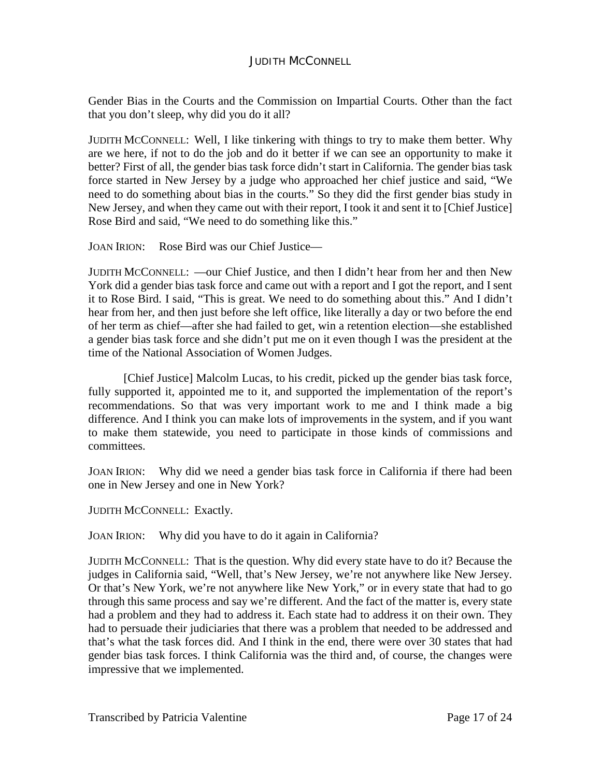Gender Bias in the Courts and the Commission on Impartial Courts. Other than the fact that you don't sleep, why did you do it all?

JUDITH MCCONNELL: Well, I like tinkering with things to try to make them better. Why are we here, if not to do the job and do it better if we can see an opportunity to make it better? First of all, the gender bias task force didn't start in California. The gender bias task force started in New Jersey by a judge who approached her chief justice and said, "We need to do something about bias in the courts." So they did the first gender bias study in New Jersey, and when they came out with their report, I took it and sent it to [Chief Justice] Rose Bird and said, "We need to do something like this."

JOAN IRION: Rose Bird was our Chief Justice—

JUDITH MCCONNELL: —our Chief Justice, and then I didn't hear from her and then New York did a gender bias task force and came out with a report and I got the report, and I sent it to Rose Bird. I said, "This is great. We need to do something about this." And I didn't hear from her, and then just before she left office, like literally a day or two before the end of her term as chief—after she had failed to get, win a retention election—she established a gender bias task force and she didn't put me on it even though I was the president at the time of the National Association of Women Judges.

[Chief Justice] Malcolm Lucas, to his credit, picked up the gender bias task force, fully supported it, appointed me to it, and supported the implementation of the report's recommendations. So that was very important work to me and I think made a big difference. And I think you can make lots of improvements in the system, and if you want to make them statewide, you need to participate in those kinds of commissions and committees.

JOAN IRION: Why did we need a gender bias task force in California if there had been one in New Jersey and one in New York?

JUDITH MCCONNELL: Exactly.

JOAN IRION: Why did you have to do it again in California?

JUDITH MCCONNELL: That is the question. Why did every state have to do it? Because the judges in California said, "Well, that's New Jersey, we're not anywhere like New Jersey. Or that's New York, we're not anywhere like New York," or in every state that had to go through this same process and say we're different. And the fact of the matter is, every state had a problem and they had to address it. Each state had to address it on their own. They had to persuade their judiciaries that there was a problem that needed to be addressed and that's what the task forces did. And I think in the end, there were over 30 states that had gender bias task forces. I think California was the third and, of course, the changes were impressive that we implemented.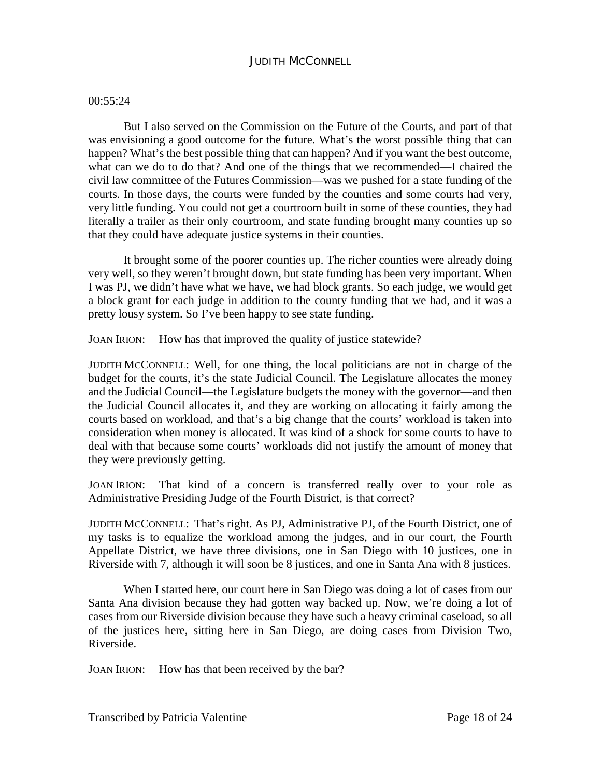### 00:55:24

But I also served on the Commission on the Future of the Courts, and part of that was envisioning a good outcome for the future. What's the worst possible thing that can happen? What's the best possible thing that can happen? And if you want the best outcome, what can we do to do that? And one of the things that we recommended—I chaired the civil law committee of the Futures Commission—was we pushed for a state funding of the courts. In those days, the courts were funded by the counties and some courts had very, very little funding. You could not get a courtroom built in some of these counties, they had literally a trailer as their only courtroom, and state funding brought many counties up so that they could have adequate justice systems in their counties.

It brought some of the poorer counties up. The richer counties were already doing very well, so they weren't brought down, but state funding has been very important. When I was PJ, we didn't have what we have, we had block grants. So each judge, we would get a block grant for each judge in addition to the county funding that we had, and it was a pretty lousy system. So I've been happy to see state funding.

JOAN IRION: How has that improved the quality of justice statewide?

JUDITH MCCONNELL: Well, for one thing, the local politicians are not in charge of the budget for the courts, it's the state Judicial Council. The Legislature allocates the money and the Judicial Council—the Legislature budgets the money with the governor—and then the Judicial Council allocates it, and they are working on allocating it fairly among the courts based on workload, and that's a big change that the courts' workload is taken into consideration when money is allocated. It was kind of a shock for some courts to have to deal with that because some courts' workloads did not justify the amount of money that they were previously getting.

JOAN IRION: That kind of a concern is transferred really over to your role as Administrative Presiding Judge of the Fourth District, is that correct?

JUDITH MCCONNELL: That's right. As PJ, Administrative PJ, of the Fourth District, one of my tasks is to equalize the workload among the judges, and in our court, the Fourth Appellate District, we have three divisions, one in San Diego with 10 justices, one in Riverside with 7, although it will soon be 8 justices, and one in Santa Ana with 8 justices.

When I started here, our court here in San Diego was doing a lot of cases from our Santa Ana division because they had gotten way backed up. Now, we're doing a lot of cases from our Riverside division because they have such a heavy criminal caseload, so all of the justices here, sitting here in San Diego, are doing cases from Division Two, Riverside.

JOAN IRION: How has that been received by the bar?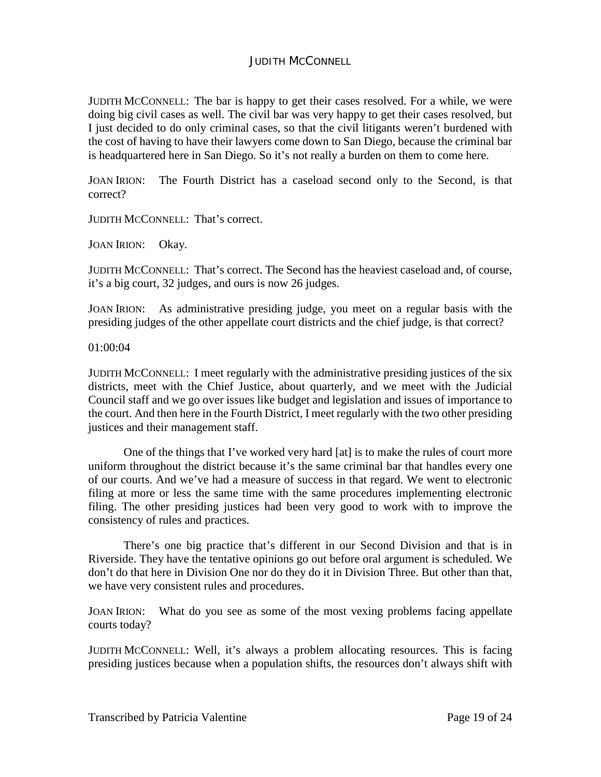JUDITH MCCONNELL: The bar is happy to get their cases resolved. For a while, we were doing big civil cases as well. The civil bar was very happy to get their cases resolved, but I just decided to do only criminal cases, so that the civil litigants weren't burdened with the cost of having to have their lawyers come down to San Diego, because the criminal bar is headquartered here in San Diego. So it's not really a burden on them to come here.

JOAN IRION: The Fourth District has a caseload second only to the Second, is that correct?

JUDITH MCCONNELL: That's correct.

JOAN IRION: Okay.

JUDITH MCCONNELL: That's correct. The Second has the heaviest caseload and, of course, it's a big court, 32 judges, and ours is now 26 judges.

JOAN IRION: As administrative presiding judge, you meet on a regular basis with the presiding judges of the other appellate court districts and the chief judge, is that correct?

01:00:04

JUDITH MCCONNELL: I meet regularly with the administrative presiding justices of the six districts, meet with the Chief Justice, about quarterly, and we meet with the Judicial Council staff and we go over issues like budget and legislation and issues of importance to the court. And then here in the Fourth District, I meet regularly with the two other presiding justices and their management staff.

One of the things that I've worked very hard [at] is to make the rules of court more uniform throughout the district because it's the same criminal bar that handles every one of our courts. And we've had a measure of success in that regard. We went to electronic filing at more or less the same time with the same procedures implementing electronic filing. The other presiding justices had been very good to work with to improve the consistency of rules and practices.

There's one big practice that's different in our Second Division and that is in Riverside. They have the tentative opinions go out before oral argument is scheduled. We don't do that here in Division One nor do they do it in Division Three. But other than that, we have very consistent rules and procedures.

JOAN IRION: What do you see as some of the most vexing problems facing appellate courts today?

JUDITH MCCONNELL: Well, it's always a problem allocating resources. This is facing presiding justices because when a population shifts, the resources don't always shift with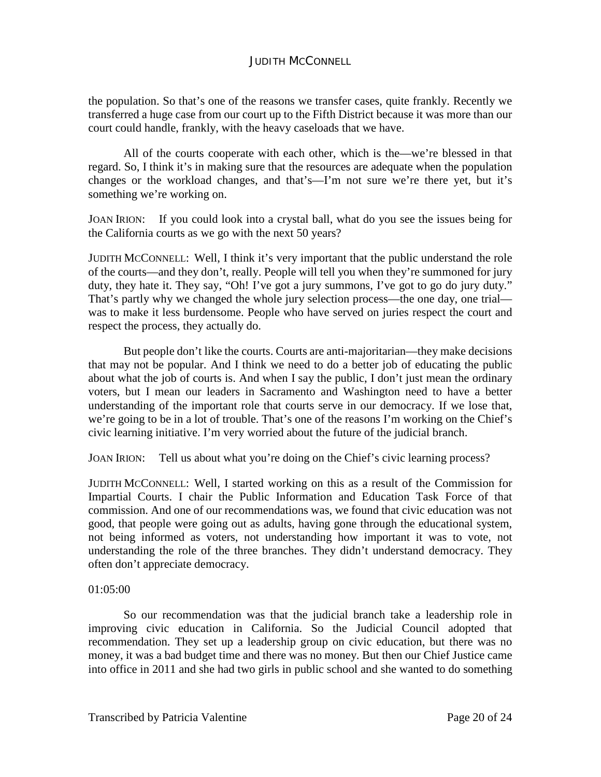the population. So that's one of the reasons we transfer cases, quite frankly. Recently we transferred a huge case from our court up to the Fifth District because it was more than our court could handle, frankly, with the heavy caseloads that we have.

All of the courts cooperate with each other, which is the—we're blessed in that regard. So, I think it's in making sure that the resources are adequate when the population changes or the workload changes, and that's—I'm not sure we're there yet, but it's something we're working on.

JOAN IRION: If you could look into a crystal ball, what do you see the issues being for the California courts as we go with the next 50 years?

JUDITH MCCONNELL: Well, I think it's very important that the public understand the role of the courts—and they don't, really. People will tell you when they're summoned for jury duty, they hate it. They say, "Oh! I've got a jury summons, I've got to go do jury duty." That's partly why we changed the whole jury selection process—the one day, one trial was to make it less burdensome. People who have served on juries respect the court and respect the process, they actually do.

But people don't like the courts. Courts are anti-majoritarian—they make decisions that may not be popular. And I think we need to do a better job of educating the public about what the job of courts is. And when I say the public, I don't just mean the ordinary voters, but I mean our leaders in Sacramento and Washington need to have a better understanding of the important role that courts serve in our democracy. If we lose that, we're going to be in a lot of trouble. That's one of the reasons I'm working on the Chief's civic learning initiative. I'm very worried about the future of the judicial branch.

JOAN IRION: Tell us about what you're doing on the Chief's civic learning process?

JUDITH MCCONNELL: Well, I started working on this as a result of the Commission for Impartial Courts. I chair the Public Information and Education Task Force of that commission. And one of our recommendations was, we found that civic education was not good, that people were going out as adults, having gone through the educational system, not being informed as voters, not understanding how important it was to vote, not understanding the role of the three branches. They didn't understand democracy. They often don't appreciate democracy.

## 01:05:00

So our recommendation was that the judicial branch take a leadership role in improving civic education in California. So the Judicial Council adopted that recommendation. They set up a leadership group on civic education, but there was no money, it was a bad budget time and there was no money. But then our Chief Justice came into office in 2011 and she had two girls in public school and she wanted to do something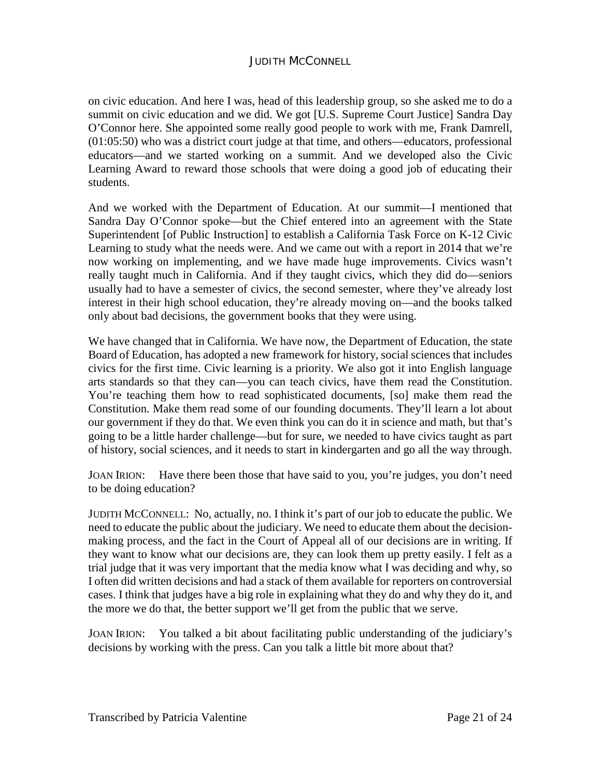on civic education. And here I was, head of this leadership group, so she asked me to do a summit on civic education and we did. We got [U.S. Supreme Court Justice] Sandra Day O'Connor here. She appointed some really good people to work with me, Frank Damrell, (01:05:50) who was a district court judge at that time, and others—educators, professional educators—and we started working on a summit. And we developed also the Civic Learning Award to reward those schools that were doing a good job of educating their students.

And we worked with the Department of Education. At our summit—I mentioned that Sandra Day O'Connor spoke—but the Chief entered into an agreement with the State Superintendent [of Public Instruction] to establish a California Task Force on K-12 Civic Learning to study what the needs were. And we came out with a report in 2014 that we're now working on implementing, and we have made huge improvements. Civics wasn't really taught much in California. And if they taught civics, which they did do—seniors usually had to have a semester of civics, the second semester, where they've already lost interest in their high school education, they're already moving on—and the books talked only about bad decisions, the government books that they were using.

We have changed that in California. We have now, the Department of Education, the state Board of Education, has adopted a new framework for history, social sciences that includes civics for the first time. Civic learning is a priority. We also got it into English language arts standards so that they can—you can teach civics, have them read the Constitution. You're teaching them how to read sophisticated documents, [so] make them read the Constitution. Make them read some of our founding documents. They'll learn a lot about our government if they do that. We even think you can do it in science and math, but that's going to be a little harder challenge—but for sure, we needed to have civics taught as part of history, social sciences, and it needs to start in kindergarten and go all the way through.

JOAN IRION: Have there been those that have said to you, you're judges, you don't need to be doing education?

JUDITH MCCONNELL: No, actually, no. I think it's part of our job to educate the public. We need to educate the public about the judiciary. We need to educate them about the decisionmaking process, and the fact in the Court of Appeal all of our decisions are in writing. If they want to know what our decisions are, they can look them up pretty easily. I felt as a trial judge that it was very important that the media know what I was deciding and why, so I often did written decisions and had a stack of them available for reporters on controversial cases. I think that judges have a big role in explaining what they do and why they do it, and the more we do that, the better support we'll get from the public that we serve.

JOAN IRION: You talked a bit about facilitating public understanding of the judiciary's decisions by working with the press. Can you talk a little bit more about that?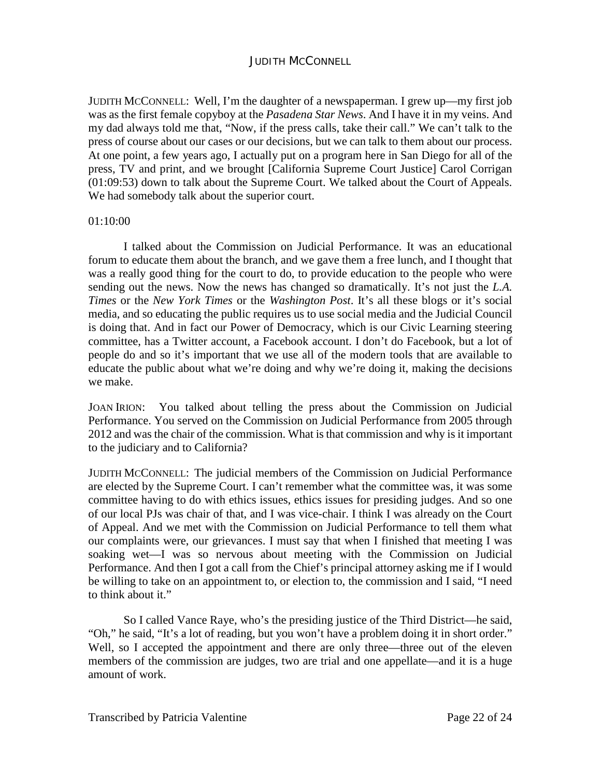JUDITH MCCONNELL: Well, I'm the daughter of a newspaperman. I grew up—my first job was as the first female copyboy at the *Pasadena Star News*. And I have it in my veins. And my dad always told me that, "Now, if the press calls, take their call." We can't talk to the press of course about our cases or our decisions, but we can talk to them about our process. At one point, a few years ago, I actually put on a program here in San Diego for all of the press, TV and print, and we brought [California Supreme Court Justice] Carol Corrigan (01:09:53) down to talk about the Supreme Court. We talked about the Court of Appeals. We had somebody talk about the superior court.

#### 01:10:00

I talked about the Commission on Judicial Performance. It was an educational forum to educate them about the branch, and we gave them a free lunch, and I thought that was a really good thing for the court to do, to provide education to the people who were sending out the news. Now the news has changed so dramatically. It's not just the *L.A. Times* or the *New York Times* or the *Washington Post*. It's all these blogs or it's social media, and so educating the public requires us to use social media and the Judicial Council is doing that. And in fact our Power of Democracy, which is our Civic Learning steering committee, has a Twitter account, a Facebook account. I don't do Facebook, but a lot of people do and so it's important that we use all of the modern tools that are available to educate the public about what we're doing and why we're doing it, making the decisions we make.

JOAN IRION: You talked about telling the press about the Commission on Judicial Performance. You served on the Commission on Judicial Performance from 2005 through 2012 and was the chair of the commission. What is that commission and why is it important to the judiciary and to California?

JUDITH MCCONNELL: The judicial members of the Commission on Judicial Performance are elected by the Supreme Court. I can't remember what the committee was, it was some committee having to do with ethics issues, ethics issues for presiding judges. And so one of our local PJs was chair of that, and I was vice-chair. I think I was already on the Court of Appeal. And we met with the Commission on Judicial Performance to tell them what our complaints were, our grievances. I must say that when I finished that meeting I was soaking wet—I was so nervous about meeting with the Commission on Judicial Performance. And then I got a call from the Chief's principal attorney asking me if I would be willing to take on an appointment to, or election to, the commission and I said, "I need to think about it."

So I called Vance Raye, who's the presiding justice of the Third District—he said, "Oh," he said, "It's a lot of reading, but you won't have a problem doing it in short order." Well, so I accepted the appointment and there are only three—three out of the eleven members of the commission are judges, two are trial and one appellate—and it is a huge amount of work.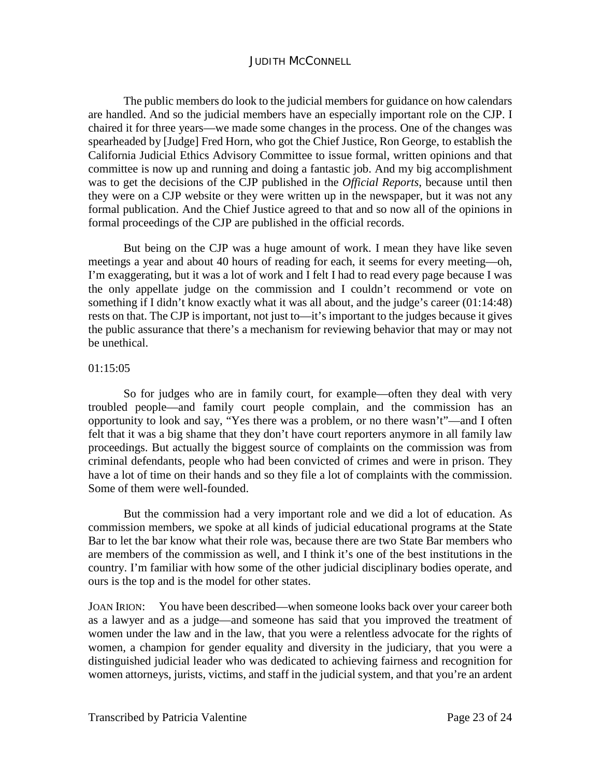The public members do look to the judicial members for guidance on how calendars are handled. And so the judicial members have an especially important role on the CJP. I chaired it for three years—we made some changes in the process. One of the changes was spearheaded by [Judge] Fred Horn, who got the Chief Justice, Ron George, to establish the California Judicial Ethics Advisory Committee to issue formal, written opinions and that committee is now up and running and doing a fantastic job. And my big accomplishment was to get the decisions of the CJP published in the *Official Reports*, because until then they were on a CJP website or they were written up in the newspaper, but it was not any formal publication. And the Chief Justice agreed to that and so now all of the opinions in formal proceedings of the CJP are published in the official records.

But being on the CJP was a huge amount of work. I mean they have like seven meetings a year and about 40 hours of reading for each, it seems for every meeting—oh, I'm exaggerating, but it was a lot of work and I felt I had to read every page because I was the only appellate judge on the commission and I couldn't recommend or vote on something if I didn't know exactly what it was all about, and the judge's career (01:14:48) rests on that. The CJP is important, not just to—it's important to the judges because it gives the public assurance that there's a mechanism for reviewing behavior that may or may not be unethical.

#### 01:15:05

So for judges who are in family court, for example—often they deal with very troubled people—and family court people complain, and the commission has an opportunity to look and say, "Yes there was a problem, or no there wasn't"—and I often felt that it was a big shame that they don't have court reporters anymore in all family law proceedings. But actually the biggest source of complaints on the commission was from criminal defendants, people who had been convicted of crimes and were in prison. They have a lot of time on their hands and so they file a lot of complaints with the commission. Some of them were well-founded.

But the commission had a very important role and we did a lot of education. As commission members, we spoke at all kinds of judicial educational programs at the State Bar to let the bar know what their role was, because there are two State Bar members who are members of the commission as well, and I think it's one of the best institutions in the country. I'm familiar with how some of the other judicial disciplinary bodies operate, and ours is the top and is the model for other states.

JOAN IRION: You have been described—when someone looks back over your career both as a lawyer and as a judge—and someone has said that you improved the treatment of women under the law and in the law, that you were a relentless advocate for the rights of women, a champion for gender equality and diversity in the judiciary, that you were a distinguished judicial leader who was dedicated to achieving fairness and recognition for women attorneys, jurists, victims, and staff in the judicial system, and that you're an ardent